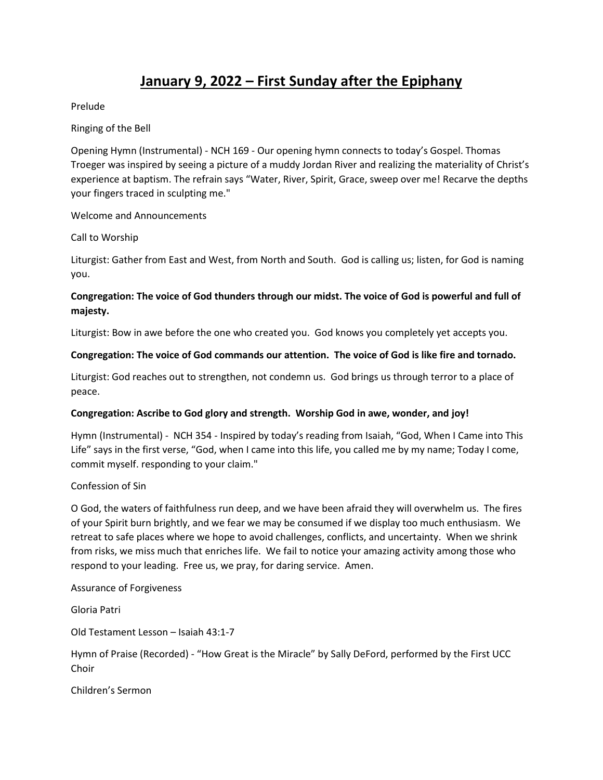# **January 9, 2022 – First Sunday after the Epiphany**

Prelude

Ringing of the Bell

Opening Hymn (Instrumental) - NCH 169 - Our opening hymn connects to today's Gospel. Thomas Troeger was inspired by seeing a picture of a muddy Jordan River and realizing the materiality of Christ's experience at baptism. The refrain says "Water, River, Spirit, Grace, sweep over me! Recarve the depths your fingers traced in sculpting me."

Welcome and Announcements

#### Call to Worship

Liturgist: Gather from East and West, from North and South. God is calling us; listen, for God is naming you.

## **Congregation: The voice of God thunders through our midst. The voice of God is powerful and full of majesty.**

Liturgist: Bow in awe before the one who created you. God knows you completely yet accepts you.

### **Congregation: The voice of God commands our attention. The voice of God is like fire and tornado.**

Liturgist: God reaches out to strengthen, not condemn us. God brings us through terror to a place of peace.

### **Congregation: Ascribe to God glory and strength. Worship God in awe, wonder, and joy!**

Hymn (Instrumental) - NCH 354 - Inspired by today's reading from Isaiah, "God, When I Came into This Life" says in the first verse, "God, when I came into this life, you called me by my name; Today I come, commit myself. responding to your claim."

#### Confession of Sin

O God, the waters of faithfulness run deep, and we have been afraid they will overwhelm us. The fires of your Spirit burn brightly, and we fear we may be consumed if we display too much enthusiasm. We retreat to safe places where we hope to avoid challenges, conflicts, and uncertainty. When we shrink from risks, we miss much that enriches life. We fail to notice your amazing activity among those who respond to your leading. Free us, we pray, for daring service. Amen.

Assurance of Forgiveness

Gloria Patri

Old Testament Lesson – Isaiah 43:1-7

Hymn of Praise (Recorded) - "How Great is the Miracle" by Sally DeFord, performed by the First UCC Choir

Children's Sermon